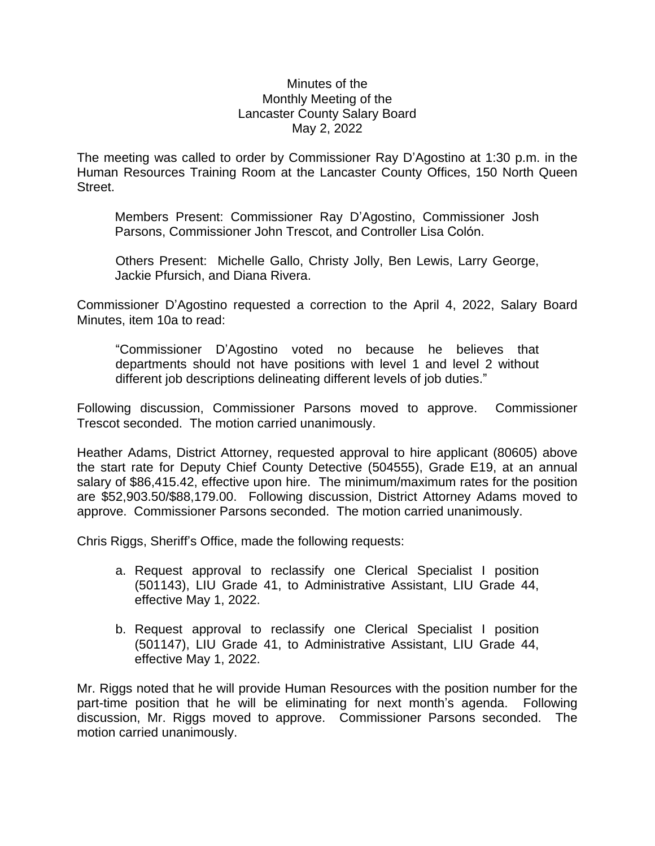## Minutes of the Monthly Meeting of the Lancaster County Salary Board May 2, 2022

The meeting was called to order by Commissioner Ray D'Agostino at 1:30 p.m. in the Human Resources Training Room at the Lancaster County Offices, 150 North Queen Street.

Members Present: Commissioner Ray D'Agostino, Commissioner Josh Parsons, Commissioner John Trescot, and Controller Lisa Colón.

Others Present: Michelle Gallo, Christy Jolly, Ben Lewis, Larry George, Jackie Pfursich, and Diana Rivera.

Commissioner D'Agostino requested a correction to the April 4, 2022, Salary Board Minutes, item 10a to read:

"Commissioner D'Agostino voted no because he believes that departments should not have positions with level 1 and level 2 without different job descriptions delineating different levels of job duties."

Following discussion, Commissioner Parsons moved to approve. Commissioner Trescot seconded. The motion carried unanimously.

Heather Adams, District Attorney, requested approval to hire applicant (80605) above the start rate for Deputy Chief County Detective (504555), Grade E19, at an annual salary of \$86,415.42, effective upon hire. The minimum/maximum rates for the position are \$52,903.50/\$88,179.00. Following discussion, District Attorney Adams moved to approve. Commissioner Parsons seconded. The motion carried unanimously.

Chris Riggs, Sheriff's Office, made the following requests:

- a. Request approval to reclassify one Clerical Specialist I position (501143), LIU Grade 41, to Administrative Assistant, LIU Grade 44, effective May 1, 2022.
- b. Request approval to reclassify one Clerical Specialist I position (501147), LIU Grade 41, to Administrative Assistant, LIU Grade 44, effective May 1, 2022.

Mr. Riggs noted that he will provide Human Resources with the position number for the part-time position that he will be eliminating for next month's agenda. Following discussion, Mr. Riggs moved to approve. Commissioner Parsons seconded. The motion carried unanimously.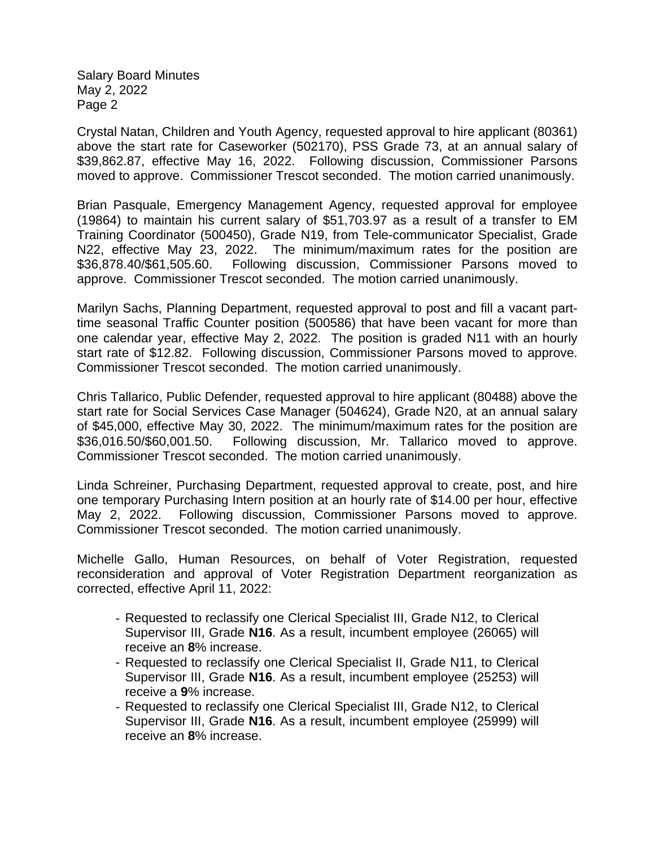Crystal Natan, Children and Youth Agency, requested approval to hire applicant (80361) above the start rate for Caseworker (502170), PSS Grade 73, at an annual salary of \$39,862.87, effective May 16, 2022. Following discussion, Commissioner Parsons moved to approve. Commissioner Trescot seconded. The motion carried unanimously.

Brian Pasquale, Emergency Management Agency, requested approval for employee (19864) to maintain his current salary of \$51,703.97 as a result of a transfer to EM Training Coordinator (500450), Grade N19, from Tele-communicator Specialist, Grade N22, effective May 23, 2022. The minimum/maximum rates for the position are \$36,878.40/\$61,505.60. Following discussion, Commissioner Parsons moved to approve. Commissioner Trescot seconded. The motion carried unanimously.

Marilyn Sachs, Planning Department, requested approval to post and fill a vacant parttime seasonal Traffic Counter position (500586) that have been vacant for more than one calendar year, effective May 2, 2022. The position is graded N11 with an hourly start rate of \$12.82. Following discussion, Commissioner Parsons moved to approve. Commissioner Trescot seconded. The motion carried unanimously.

Chris Tallarico, Public Defender, requested approval to hire applicant (80488) above the start rate for Social Services Case Manager (504624), Grade N20, at an annual salary of \$45,000, effective May 30, 2022. The minimum/maximum rates for the position are \$36,016.50/\$60,001.50. Following discussion, Mr. Tallarico moved to approve. Commissioner Trescot seconded. The motion carried unanimously.

Linda Schreiner, Purchasing Department, requested approval to create, post, and hire one temporary Purchasing Intern position at an hourly rate of \$14.00 per hour, effective May 2, 2022. Following discussion, Commissioner Parsons moved to approve. Commissioner Trescot seconded. The motion carried unanimously.

Michelle Gallo, Human Resources, on behalf of Voter Registration, requested reconsideration and approval of Voter Registration Department reorganization as corrected, effective April 11, 2022:

- Requested to reclassify one Clerical Specialist III, Grade N12, to Clerical Supervisor III, Grade **N16**. As a result, incumbent employee (26065) will receive an **8**% increase.
- Requested to reclassify one Clerical Specialist II, Grade N11, to Clerical Supervisor III, Grade **N16**. As a result, incumbent employee (25253) will receive a **9**% increase.
- Requested to reclassify one Clerical Specialist III, Grade N12, to Clerical Supervisor III, Grade **N16**. As a result, incumbent employee (25999) will receive an **8**% increase.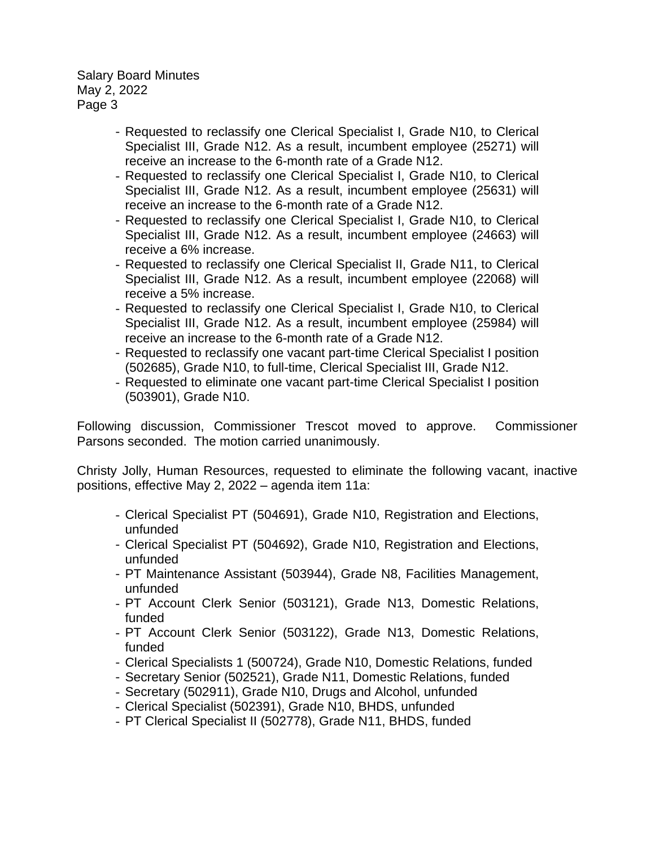- Requested to reclassify one Clerical Specialist I, Grade N10, to Clerical Specialist III, Grade N12. As a result, incumbent employee (25271) will receive an increase to the 6-month rate of a Grade N12.
- Requested to reclassify one Clerical Specialist I, Grade N10, to Clerical Specialist III, Grade N12. As a result, incumbent employee (25631) will receive an increase to the 6-month rate of a Grade N12.
- Requested to reclassify one Clerical Specialist I, Grade N10, to Clerical Specialist III, Grade N12. As a result, incumbent employee (24663) will receive a 6% increase.
- Requested to reclassify one Clerical Specialist II, Grade N11, to Clerical Specialist III, Grade N12. As a result, incumbent employee (22068) will receive a 5% increase.
- Requested to reclassify one Clerical Specialist I, Grade N10, to Clerical Specialist III, Grade N12. As a result, incumbent employee (25984) will receive an increase to the 6-month rate of a Grade N12.
- Requested to reclassify one vacant part-time Clerical Specialist I position (502685), Grade N10, to full-time, Clerical Specialist III, Grade N12.
- Requested to eliminate one vacant part-time Clerical Specialist I position (503901), Grade N10.

Following discussion, Commissioner Trescot moved to approve. Commissioner Parsons seconded. The motion carried unanimously.

Christy Jolly, Human Resources, requested to eliminate the following vacant, inactive positions, effective May 2, 2022 – agenda item 11a:

- Clerical Specialist PT (504691), Grade N10, Registration and Elections, unfunded
- Clerical Specialist PT (504692), Grade N10, Registration and Elections, unfunded
- PT Maintenance Assistant (503944), Grade N8, Facilities Management, unfunded
- PT Account Clerk Senior (503121), Grade N13, Domestic Relations, funded
- PT Account Clerk Senior (503122), Grade N13, Domestic Relations, funded
- Clerical Specialists 1 (500724), Grade N10, Domestic Relations, funded
- Secretary Senior (502521), Grade N11, Domestic Relations, funded
- Secretary (502911), Grade N10, Drugs and Alcohol, unfunded
- Clerical Specialist (502391), Grade N10, BHDS, unfunded
- PT Clerical Specialist II (502778), Grade N11, BHDS, funded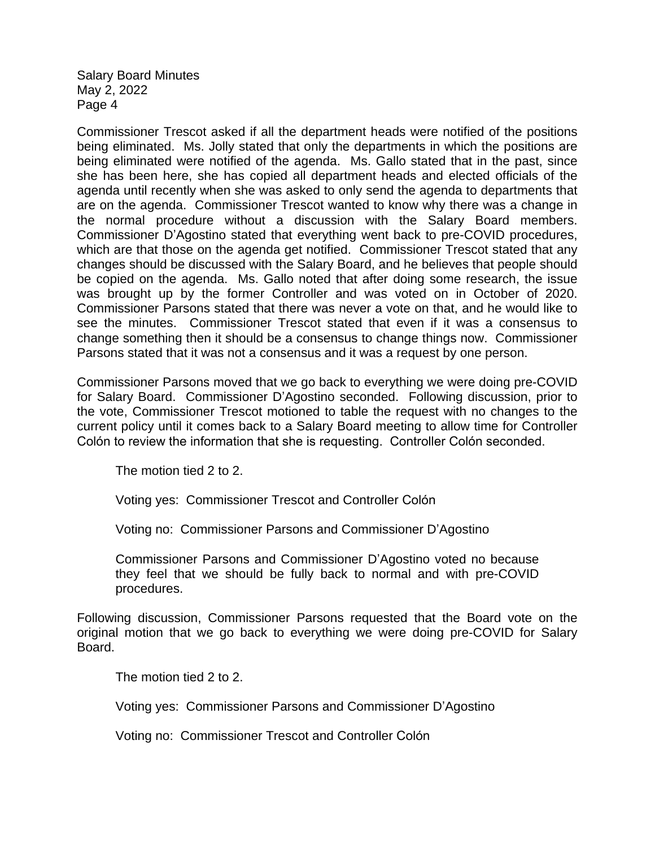Commissioner Trescot asked if all the department heads were notified of the positions being eliminated. Ms. Jolly stated that only the departments in which the positions are being eliminated were notified of the agenda. Ms. Gallo stated that in the past, since she has been here, she has copied all department heads and elected officials of the agenda until recently when she was asked to only send the agenda to departments that are on the agenda. Commissioner Trescot wanted to know why there was a change in the normal procedure without a discussion with the Salary Board members. Commissioner D'Agostino stated that everything went back to pre-COVID procedures, which are that those on the agenda get notified. Commissioner Trescot stated that any changes should be discussed with the Salary Board, and he believes that people should be copied on the agenda. Ms. Gallo noted that after doing some research, the issue was brought up by the former Controller and was voted on in October of 2020. Commissioner Parsons stated that there was never a vote on that, and he would like to see the minutes. Commissioner Trescot stated that even if it was a consensus to change something then it should be a consensus to change things now. Commissioner Parsons stated that it was not a consensus and it was a request by one person.

Commissioner Parsons moved that we go back to everything we were doing pre-COVID for Salary Board. Commissioner D'Agostino seconded. Following discussion, prior to the vote, Commissioner Trescot motioned to table the request with no changes to the current policy until it comes back to a Salary Board meeting to allow time for Controller Colón to review the information that she is requesting. Controller Colón seconded.

The motion tied 2 to 2.

Voting yes: Commissioner Trescot and Controller Colón

Voting no: Commissioner Parsons and Commissioner D'Agostino

Commissioner Parsons and Commissioner D'Agostino voted no because they feel that we should be fully back to normal and with pre-COVID procedures.

Following discussion, Commissioner Parsons requested that the Board vote on the original motion that we go back to everything we were doing pre-COVID for Salary Board.

The motion tied 2 to 2.

Voting yes: Commissioner Parsons and Commissioner D'Agostino

Voting no: Commissioner Trescot and Controller Colón